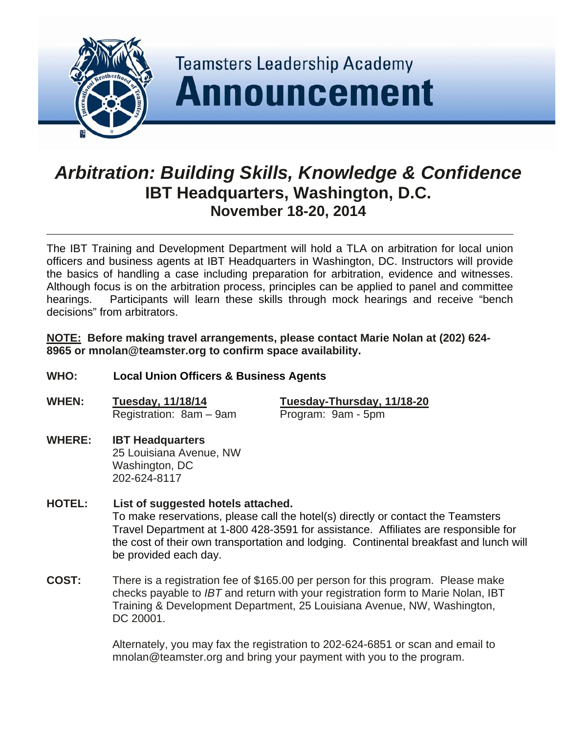

# *Arbitration: Building Skills, Knowledge & Confidence*  **IBT Headquarters, Washington, D.C. November 18-20, 2014**

The IBT Training and Development Department will hold a TLA on arbitration for local union officers and business agents at IBT Headquarters in Washington, DC. Instructors will provide the basics of handling a case including preparation for arbitration, evidence and witnesses. Although focus is on the arbitration process, principles can be applied to panel and committee hearings. Participants will learn these skills through mock hearings and receive "bench decisions" from arbitrators.

**NOTE: Before making travel arrangements, please contact Marie Nolan at (202) 624- 8965 or mnolan@teamster.org to confirm space availability.** 

- **WHO: Local Union Officers & Business Agents**
- **WHEN: Tuesday, 11/18/14 Tuesday-Thursday, 11/18-20** Registration: 8am – 9am Program: 9am - 5pm

#### **WHERE: IBT Headquarters**  25 Louisiana Avenue, NW Washington, DC 202-624-8117

- **HOTEL: List of suggested hotels attached.** To make reservations, please call the hotel(s) directly or contact the Teamsters Travel Department at 1-800 428-3591 for assistance. Affiliates are responsible for the cost of their own transportation and lodging. Continental breakfast and lunch will be provided each day.
- **COST:** There is a registration fee of \$165.00 per person for this program. Please make checks payable to *IBT* and return with your registration form to Marie Nolan, IBT Training & Development Department, 25 Louisiana Avenue, NW, Washington, DC 20001.

Alternately, you may fax the registration to 202-624-6851 or scan and email to mnolan@teamster.org and bring your payment with you to the program.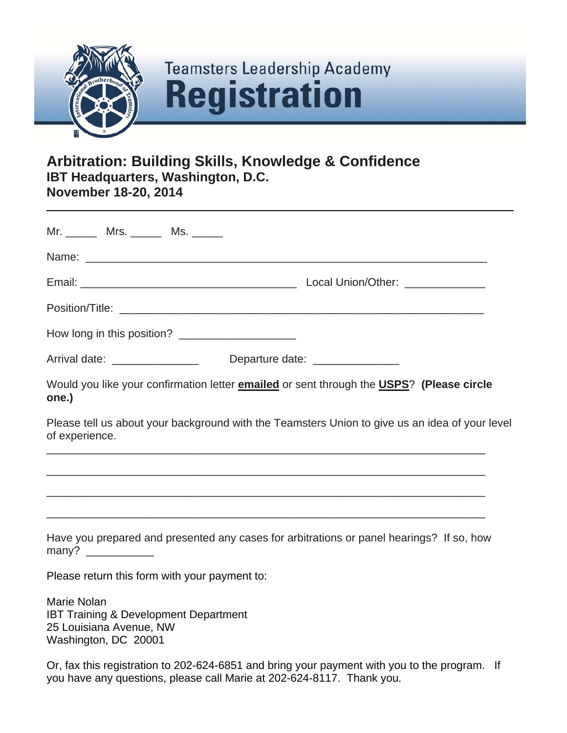

# **Teamsters Leadership Academy Registration**

# **Arbitration: Building Skills, Knowledge & Confidence IBT Headquarters, Washington, D.C. November 18-20, 2014**

|                |                                                                                                                                                                                                                                                                                                                                                                                                                          | Mr. ________ Mrs. _______ Ms. ______             |                                                                                                         |  |  |
|----------------|--------------------------------------------------------------------------------------------------------------------------------------------------------------------------------------------------------------------------------------------------------------------------------------------------------------------------------------------------------------------------------------------------------------------------|--------------------------------------------------|---------------------------------------------------------------------------------------------------------|--|--|
|                |                                                                                                                                                                                                                                                                                                                                                                                                                          |                                                  |                                                                                                         |  |  |
|                |                                                                                                                                                                                                                                                                                                                                                                                                                          |                                                  |                                                                                                         |  |  |
|                |                                                                                                                                                                                                                                                                                                                                                                                                                          |                                                  |                                                                                                         |  |  |
|                |                                                                                                                                                                                                                                                                                                                                                                                                                          |                                                  | How long in this position? ____________________                                                         |  |  |
|                |                                                                                                                                                                                                                                                                                                                                                                                                                          |                                                  | Arrival date: ________________________________Departure date: __________________                        |  |  |
| one.)          |                                                                                                                                                                                                                                                                                                                                                                                                                          |                                                  | Would you like your confirmation letter <b>emailed</b> or sent through the <b>USPS</b> ? (Please circle |  |  |
| of experience. |                                                                                                                                                                                                                                                                                                                                                                                                                          |                                                  | Please tell us about your background with the Teamsters Union to give us an idea of your level          |  |  |
|                |                                                                                                                                                                                                                                                                                                                                                                                                                          |                                                  |                                                                                                         |  |  |
|                |                                                                                                                                                                                                                                                                                                                                                                                                                          |                                                  |                                                                                                         |  |  |
|                | many? $\frac{1}{\sqrt{1-\frac{1}{2}}}\frac{1}{\sqrt{1-\frac{1}{2}}}\frac{1}{\sqrt{1-\frac{1}{2}}}\frac{1}{\sqrt{1-\frac{1}{2}}}\frac{1}{\sqrt{1-\frac{1}{2}}}\frac{1}{\sqrt{1-\frac{1}{2}}}\frac{1}{\sqrt{1-\frac{1}{2}}}\frac{1}{\sqrt{1-\frac{1}{2}}}\frac{1}{\sqrt{1-\frac{1}{2}}}\frac{1}{\sqrt{1-\frac{1}{2}}}\frac{1}{\sqrt{1-\frac{1}{2}}}\frac{1}{\sqrt{1-\frac{1}{2}}}\frac{1}{\sqrt{1-\frac{1}{2}}}\frac{1}{\$ |                                                  | Have you prepared and presented any cases for arbitrations or panel hearings? If so, how                |  |  |
|                |                                                                                                                                                                                                                                                                                                                                                                                                                          | Please return this form with your payment to:    |                                                                                                         |  |  |
| Marie Nolan    | 25 Louisiana Avenue, NW<br>Washington, DC 20001                                                                                                                                                                                                                                                                                                                                                                          | <b>IBT Training &amp; Development Department</b> |                                                                                                         |  |  |

Or, fax this registration to 202-624-6851 and bring your payment with you to the program. If you have any questions, please call Marie at 202-624-8117. Thank you.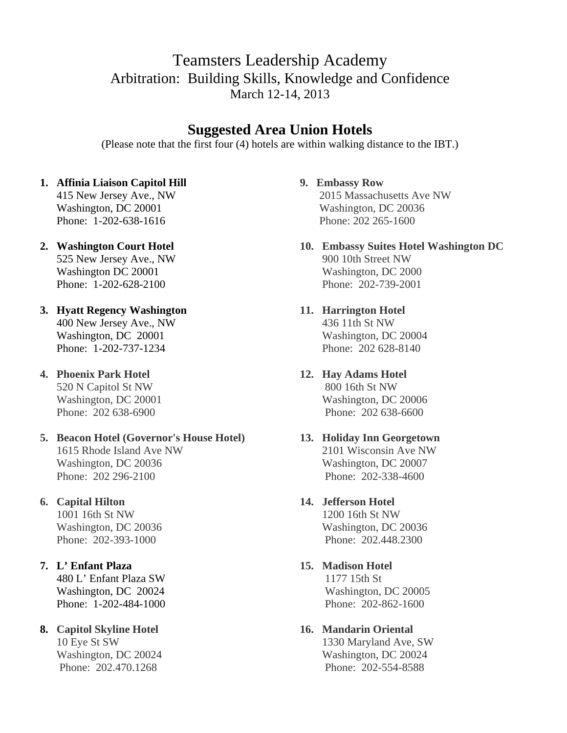# Teamsters Leadership Academy Arbitration: Building Skills, Knowledge and Confidence March 12-14, 2013

# **Suggested Area Union Hotels**

(Please note that the first four (4) hotels are within walking distance to the IBT.)

# **1. Affinia Liaison Capitol Hill**

 415 New Jersey Ave., NW Washington, DC 20001 Phone: 1-202-638-1616

- **2. Washington Court Hotel** 525 New Jersey Ave., NW Washington DC 20001 Phone: 1-202-628-2100
- **3. Hyatt Regency Washington**  400 New Jersey Ave., NW Washington, DC 20001 Phone: 1-202-737-1234

**4. Phoenix Park Hotel** 520 N Capitol St NW Washington, DC 20001 Phone: 202 638-6900

**5. Beacon Hotel (Governor's House Hotel)**  1615 Rhode Island Ave NW Washington, DC 20036 Phone: 202 296-2100

# **6. Capital Hilton**

 1001 16th St NW Washington, DC 20036 Phone: 202-393-1000

# **7. L' Enfant Plaza**

 480 L' Enfant Plaza SW Washington, DC 20024 Phone: 1-202-484-1000

# **8. Capitol Skyline Hotel**

 10 Eye St SW Washington, DC 20024 Phone: 202.470.1268

# **9. Embassy Row**

 2015 Massachusetts Ave NW Washington, DC 20036 Phone: 202 265-1600

**10. Embassy Suites Hotel Washington DC** 900 10th Street NW Washington, DC 2000 Phone: 202-739-2001

## **11. Harrington Hotel** 436 11th St NW Washington, DC 20004

 Phone: 202 628-8140 **12. Hay Adams Hotel**

 800 16th St NW Washington, DC 20006 Phone: 202 638-6600

#### **13. Holiday Inn Georgetown** 2101 Wisconsin Ave NW Washington, DC 20007 Phone: 202-338-4600

# **14. Jefferson Hotel**

 1200 16th St NW Washington, DC 20036 Phone: 202.448.2300

**15. Madison Hotel**

 1177 15th St Washington, DC 20005 Phone: 202-862-1600

## **16. Mandarin Oriental**

 1330 Maryland Ave, SW Washington, DC 20024 Phone: 202-554-8588